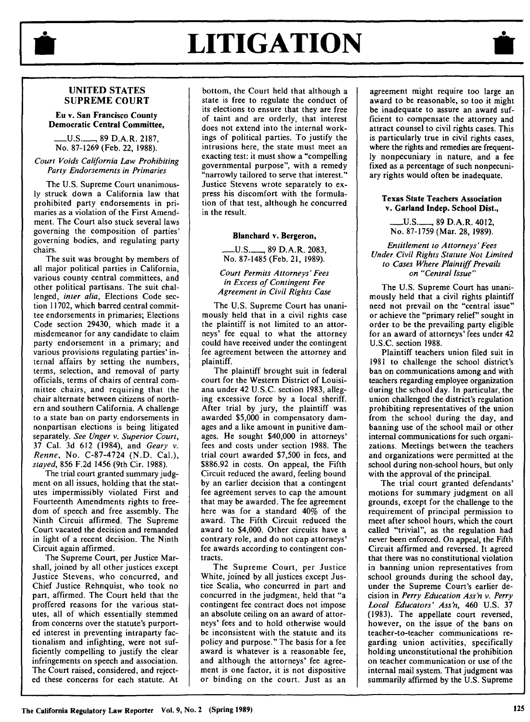

# **LITIGATION**

## **UNITED STATES SUPREME COURT**

#### **Eu v. San Francisco County Democratic Central Committee,**

\_U.S.\_, 89 D.A.R. 2187, No. 87-1269 (Feb. 22, 1988).

#### *Court Voids California Law Prohibiting Party Endorsements in Primaries*

The U.S. Supreme Court unanimously struck down a California law that prohibited party endorsements in primaries as a violation of the First Amendment. The Court also stuck several laws governing the composition of parties' governing bodies, and regulating party chairs.

The suit was brought by members of all major political parties in California, various county central committees, and other political partisans. The suit challenged, *inter alia,* Elections Code section 11702, which barred central committee endorsements in primaries; Elections Code section 29430, which made it a misdemeanor for any candidate to claim party endorsement in a primary; and various provisions regulating parties' internal affairs by setting the numbers, terms, selection, and removal of party officials, terms of chairs of central committee chairs, and requiring that the chair alternate between citizens of northern and southern California. A challenge to a state ban on party endorsements in nonpartisan elections is being litigated separately. *See Unger v. Superior Court,*  37 Cal. 3d 612 (1984), and *Geary v. Renne,* No. C-87-4724 (N.D. Cal.), *stayed,* 856 F.2d 1456 (9th Cir. 1988).

The trial court granted summary judgment on all issues, holding that the statutes impermissibly violated First and Fourteenth Amendments rights to freedom of speech and free assembly. The Ninth Circuit affirmed. The Supreme Court vacated the decision and remanded in light of a recent decision. The Ninth Circuit again affirmed.

The Supreme Court, per Justice Marshall, joined by all other justices except Justice Stevens, who concurred, and Chief Justice Rehnquist, who took no part, affirmed. The Court held that the proffered reasons for the various statutes, all of which essentially stemmed from concerns over the statute's purported interest in preventing intraparty factionalism and infighting, were not sufficiently compelling to justify the clear infringements on speech and association. The Court raised, considered, and rejected these concerns for each statute. At bottom, the Court held that although a state is free to regulate the conduct of its elections to ensure that they are free of taint and are orderly, that interest does not extend into the internal workings of political parties. To justify the intrusions here, the state must meet an exacting test: it must show a "compelling governmental purpose", with a remedy "narrowly tailored to serve that interest." Justice Stevens wrote separately to express his discomfort with the formulation of that test, although he concurred in the result.

#### **Blanchard** v. **Bergeron,**

\_U.S.\_, 89 D.A.R. 2083, No. 87-1485 (Feb. 21, 1989).

#### *Court Permits Attorneys' Fees in Excess of Contingent Fee Agreement in Civil Rights Case*

The U.S. Supreme Court has unanimously held that in a civil rights case the plaintiff is not limited to an attorneys' fee equal to what the attorney could have received under the contingent fee agreement between the attorney and plaintiff.

The plaintiff brought suit in federal court for the Western District of Louisiana under 42 U.S.C. section 1983, alleging excessive force by a local sheriff. After trial by jury, the plaintiff was awarded \$5,000 in compensatory damages and a like amount in punitive damages. He sought \$40,000 in attorneys' fees and costs under section 1988. The trial court awarded \$7,500 in fees, and \$886.92 in costs. On appeal, the Fifth Circuit reduced the award, feeling bound by an earlier decision that a contingent fee agreement serves to cap the amount that may be awarded. The fee agreement here was for a standard 40% of the award. The Fifth Circuit reduced the award to \$4,000. Other circuits have a contrary role, and do not cap attorneys' fee awards according to contingent contracts.

The Supreme Court, per Justice White, joined by all justices except Justice Scalia, who concurred in part and concurred in the judgment, held that "a contingent fee contract does not impose an absolute ceiling on an award of attorneys' fees and to hold otherwise would be inconsistent with the statute and its policy and purpose." The basis for a fee award is whatever is a reasonable fee, and although the attorneys' fee agreement is one factor, it is not dispositive or binding on the court. Just as an

 $\frac{1}{\sqrt{\frac{1}{\sqrt{1+\frac{1}{\sqrt{1+\frac{1}{\sqrt{1+\frac{1}{\sqrt{1+\frac{1}{\sqrt{1+\frac{1}{\sqrt{1+\frac{1}{\sqrt{1+\frac{1}{\sqrt{1+\frac{1}{\sqrt{1+\frac{1}{\sqrt{1+\frac{1}{\sqrt{1+\frac{1}{\sqrt{1+\frac{1}{\sqrt{1+\frac{1}{\sqrt{1+\frac{1}{\sqrt{1+\frac{1}{\sqrt{1+\frac{1}{\sqrt{1+\frac{1}{\sqrt{1+\frac{1}{\sqrt{1+\frac{1}{\sqrt{1+\frac{1}{\sqrt{1+\frac{1}{\sqrt{1+\frac{1}{\sqrt{1+\frac{1}{\$ agreement might require too large an award to be reasonable, so too it might be inadequate to assure an award sufficient to compensate the attorney and attract counsel to civil rights cases. This is particularly true in civil rights cases, where the rights and remedies are frequently nonpecuniary in nature, and a fee fixed as a percentage of such nonpecuniary rights would often be inadequate.

#### **Texas State Teachers Association v. Garland Indep. School Dist.,**

\_U.S.\_, 89 D.A.R. 4012, No. 87-1759 (Mar. 28, 1989).

*Entitlement to Attorneys' Fees Under Civil Rights Statute Not Limited to Cases Where Plaintiff Prevails on "Central Issue"* 

The U.S. Supreme Court has unanimously held that a civil rights plaintiff need not prevail on the "central issue" or achieve the "primary relief" sought in order to be the prevailing party eligible for an award of attorneys' fees under 42 U.S.C. section 1988.

Plaintiff teachers union filed suit in 1981 to challenge the school district's ban on communications among and with teachers regarding employee organization during the school day. In particular, the union challenged the district's regulation prohibiting representatives of the union from the school during the day, and banning use of the school mail or other internal communications for such organizations. Meetings between the teachers and organizations were permitted at the school during non-school hours, but only with the approval of the principal.

The trial court granted defendants' motions for summary judgment on all grounds, except for the challenge to the requirement of principal permission to meet after school hours, which the court called "trivial", as the regulation had never been enforced. On appeal, the Fifth Circuit affirmed and reversed. It agreed that there was no constitutional violation in banning union representatives from school grounds during the school day, under the Supreme Court's earlier decision in *Perry Education Ass'n v. Perry Local Educators' Ass'n,* 460 U.S. 37 ( 1983). The appellate court reversed, however, on the issue of the bans on teacher-to-teacher communications regarding union activities, specifically holding unconstitutional the prohibition on teacher communication or use of the internal mail system. That judgment was summarily affirmed by the U.S. Supreme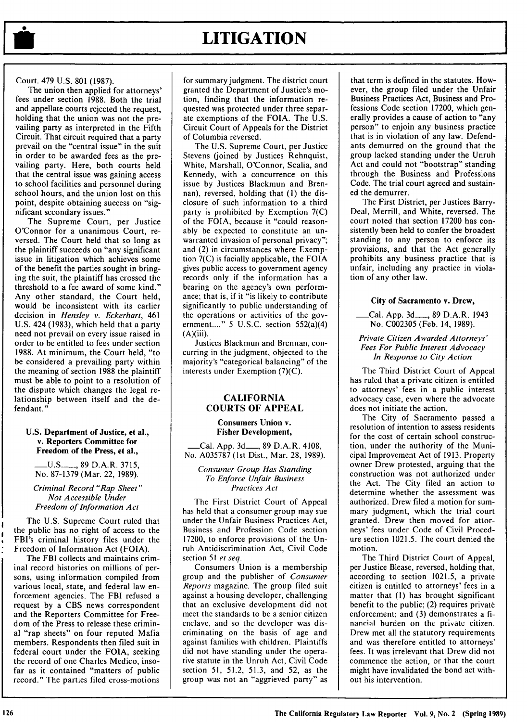# **LITIGATION**

#### Court. 479 U.S. 801 (1987).

The union then applied for attorneys' fees under section 1988. Both the trial and appellate courts rejected the request, holding that the union was not the prevailing party as interpreted in the Fifth Circuit. That circuit required that a party prevail on the "central issue" in the suit in order to be awarded fees as the prevailing party. Here, both courts held that the central issue was gaining access to school facilities and personnel during school hours, and the union lost on this point, despite obtaining success on "significant secondary issues."

The Supreme Court, per Justice O'Connor for a unanimous Court, reversed. The Court held that so long as the plaintiff succeeds on "any significant issue in litigation which achieves some of the benefit the parties sought in bringing the suit, the plaintiff has crossed the threshold to a fee award of some kind." Any other standard, the Court held, would be inconsistent with its earlier decision in *Hensley v. Eckerhart,* 461 U.S. 424 (1983), which held that a party need not prevail on every issue raised in order to be entitled to fees under section 1988. At minimum, the Court held, "to be considered a prevailing party within the meaning of section 1988 the plaintiff must be able to point to a resolution of the dispute which changes the legal relationship between itself and the defendant."

#### **U.S. Department of Justice, et al., v. Reporters Committee for Freedom of the Press, et al.,**

\_U.S.\_\_\_, 89 D.A.R. 3715, No. 87-1379(Mar. 22, 1989).

*Criminal Record "Rap Sheet" Not Accessible Under Freedom of Information Act* 

The U.S. Supreme Court ruled that the public has no right of access to the FBI's criminal history files under the Freedom of Information Act (FOIA).

The FBI collects and maintains criminal record histories on millions of persons, using information compiled from various local, state, and federal law enforcement agencies. The **FBI** refused a request by a **CBS** news correspondent and the Reporters Committee for Freedom of the Press to release these criminal "rap sheets" on four reputed Mafia members. Respondents then filed suit in federal court under the FOIA, seeking the record of one Charles Medico, insofar as it contained "matters of public record." The parties filed cross-motions for summary judgment. The district court granted the Department of Justice's motion, finding that the information requested was protected under three separate exemptions of the FOIA. The U.S. Circuit Court of Appeals for the District of Columbia reversed.

The U.S. Supreme Court, per Justice Stevens (joined by Justices Rehnquist, White, Marshall, O'Connor, Scalia, and Kennedy, with a concurrence on this issue by Justices Blackmun and Brennan), reversed, holding that (I) the disclosure of such information to a third party is prohibited by Exemption 7(C) of the FOIA, because it "could reasonably be expected to constitute an unwarranted invasion of personal privacy"; and (2) in circumstances where Exemption 7(C) is facially applicable, the FOIA gives public access to government agency records only if the information has a bearing on the agency's own performance; that is, if it "is likely to contribute significantly to public understanding of the operations or activities of the government...." *5* U.S.C. section 552(a)(4)  $(A)(iii)$ .

Justices Blackmun and Brennan, concurring in the judgment, objected to the majority's "categorical balancing" of the interests under Exemption (7)(C).

### **CALIFORNIA COURTS OF APPEAL**

#### **Consumers Union v. Fisher Development,**

\_Cal. App. 3d\_\_\_, 89 D.A.R. 4108, No. A035787 (1st Dist., Mar. 28, 1989).

*Consumer Group Has Standing To Enforce Unfair Business Practices Act* 

The First District Court of Appeal has held that a consumer group may sue under the Unfair Business Practices Act, Business and Profession Code section 17200, to enforce provisions of the Unruh Antidiscrimination Act, Civil Code section 51 *et seq.* 

Consumers Union is a membership group and the publisher of *Consumer Reports* magazine. The group filed suit against a housing developer, challenging that an exclusive development did not meet the standards to be a senior citizen enclave, and so the developer was discriminating on the basis of age and against families with children. Plaintiffs did not have standing under the operative statute in the Unruh Act, Civil Code section 51, 51.2, 51.3, and 52, as the group was not an "aggrieved party" as

that term is defined in the statutes. However, the group filed under the Unfair Business Practices Act, Business and Professions Code section 17200, which generally provides a cause of action to "any person" to enjoin any business practice that is in violation of any law. Defendants demurred on the ground that the group lacked standing under the Unruh Act and could not "bootstrap" standing through the Business and Professions Code. The trial court agreed and sustained the demurrer.

The First District, per Justices Barry-Deal, Merrill, and White, reversed. The court noted that section 17200 has consistently been held to confer the broadest standing to any person to enforce its provisions, and that the Act generally prohibits any business practice that is unfair, including any practice in violation of any other law.

#### **City of Sacramento v. Drew,**

#### \_Cal. App. 3d\_\_\_, 89 D.A.R. 1943 No. C002305 (Feb. 14, 1989).

#### *Private Citizen A warded Attorneys' Fees For Public Interest Advocacy In Response to City Action*

The Third District Court of Appeal has ruled that a private citizen is entitled to attorneys' fees in a public interest advocacy case, even where the advocate does not initiate the action.

The City of Sacramento passed a resolution of intention to assess residents for the cost of certain school construction, under the authority of the Municipal Improvement Act of 1913. Property owner Drew protested, arguing that the construction was not authorized under the Act. The City filed an action to determine whether the assessment was authorized. Drew filed a motion for summary judgment, which the trial court granted. Drew then moved for attorneys' fees under Code of Civil Procedure section 1021.5. The court denied the motion.

The Third District Court of Appeal, per Justice Blease, reversed, holding that, according to section 1021.5, a private citizen is entitled to attorneys' fees in a matter that (I) has brought significant benefit to the public; (2) requires private enforcement; and (3) demonstrates a financial burden on the private citizen. Drew met all the statutory requirements and was therefore entitled to attorneys' fees. It was irrelevant that Drew did not commence the action, or that the court might have invalidated the bond act without his intervention.